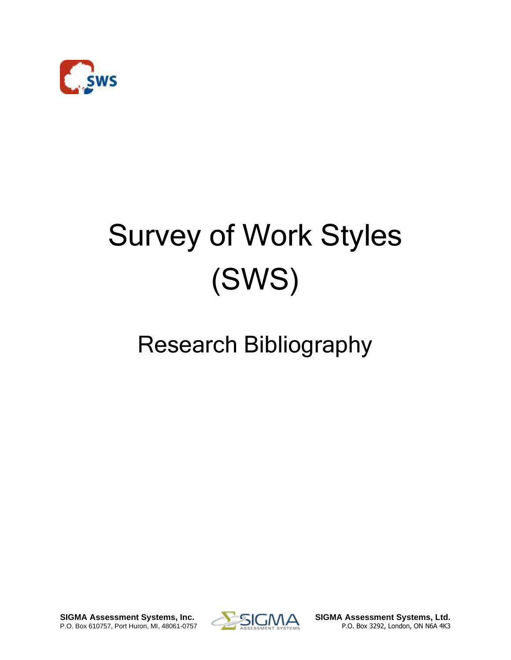

## Survey of Work Styles (SWS)

## Research Bibliography

**SIGMA Assessment Systems, Inc. SIGMA Assessment Systems, Ltd.** P.O. Box 610757, Port Huron, MI, 48061-0757 **P.O. Box 3292, London, ON N6A 4K3** 

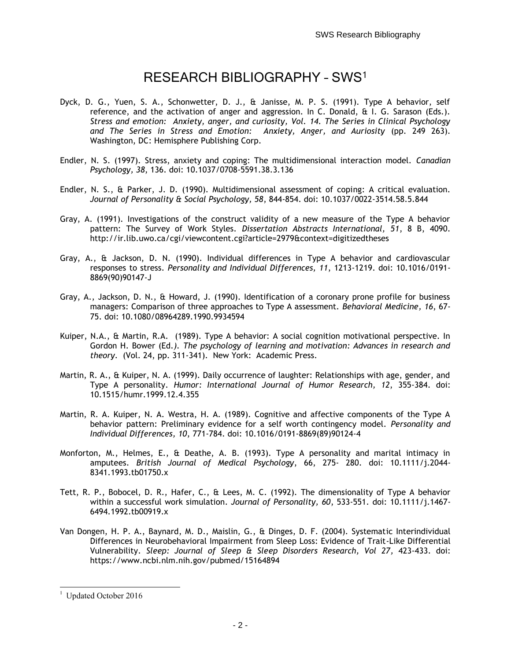## RESEARCH BIBLIOGRAPHY – SWS<sup>1</sup>

- Dyck, D. G., Yuen, S. A., Schonwetter, D. J., & Janisse, M. P. S. (1991). Type A behavior, self reference, and the activation of anger and aggression. In C. Donald, & I. G. Sarason (Eds.). *Stress and emotion: Anxiety, anger, and curiosity, Vol. 14. The Series in Clinical Psychology and The Series in Stress and Emotion: Anxiety, Anger, and Auriosity* (pp. 249 263). Washington, DC: Hemisphere Publishing Corp.
- Endler, N. S. (1997). Stress, anxiety and coping: The multidimensional interaction model. *Canadian Psychology, 38*, 136. doi: 10.1037/0708-5591.38.3.136
- Endler, N. S., & Parker, J. D. (1990). Multidimensional assessment of coping: A critical evaluation. *Journal of Personality & Social Psychology, 58*, 844-854. doi: 10.1037/0022-3514.58.5.844
- Gray, A. (1991). Investigations of the construct validity of a new measure of the Type A behavior pattern: The Survey of Work Styles. *Dissertation Abstracts International, 51*, 8 B, 4090. http://ir.lib.uwo.ca/cgi/viewcontent.cgi?article=2979&context=digitizedtheses
- Gray, A., & Jackson, D. N. (1990). Individual differences in Type A behavior and cardiovascular responses to stress. *Personality and Individual Differences, 11*, 1213-1219. doi: 10.1016/0191- 8869(90)90147-J
- Gray, A., Jackson, D. N., & Howard, J. (1990). Identification of a coronary prone profile for business managers: Comparison of three approaches to Type A assessment. *Behavioral Medicine, 16*, 67- 75. doi: 10.1080/08964289.1990.9934594
- Kuiper, N.A., & Martin, R.A. (1989). Type A behavior: A social cognition motivational perspective. In Gordon H. Bower (Ed*.). The psychology of learning and motivation: Advances in research and theory*. (Vol. 24, pp. 311-341). New York: Academic Press.
- Martin, R. A., & Kuiper, N. A. (1999). Daily occurrence of laughter: Relationships with age, gender, and Type A personality. *Humor: International Journal of Humor Research, 12*, 355-384. doi: 10.1515/humr.1999.12.4.355
- Martin, R. A. Kuiper, N. A. Westra, H. A. (1989). Cognitive and affective components of the Type A behavior pattern: Preliminary evidence for a self worth contingency model. *Personality and Individual Differences, 10*, 771-784. doi: 10.1016/0191-8869(89)90124-4
- Monforton, M., Helmes, E., & Deathe, A. B. (1993). Type A personality and marital intimacy in amputees. *British Journal of Medical Psychology*, 66, 275- 280. doi: 10.1111/j.2044- 8341.1993.tb01750.x
- Tett, R. P., Bobocel, D. R., Hafer, C., & Lees, M. C. (1992). The dimensionality of Type A behavior within a successful work simulation. *Journal of Personality, 60*, 533-551. doi: 10.1111/j.1467- 6494.1992.tb00919.x
- Van Dongen, H. P. A., Baynard, M. D., Maislin, G., & Dinges, D. F. (2004). Systematic Interindividual Differences in Neurobehavioral Impairment from Sleep Loss: Evidence of Trait-Like Differential Vulnerability. *Sleep: Journal of Sleep & Sleep Disorders Research, Vol 27,* 423-433. doi: https://www.ncbi.nlm.nih.gov/pubmed/15164894

 $\overline{a}$ 

Updated October 2016